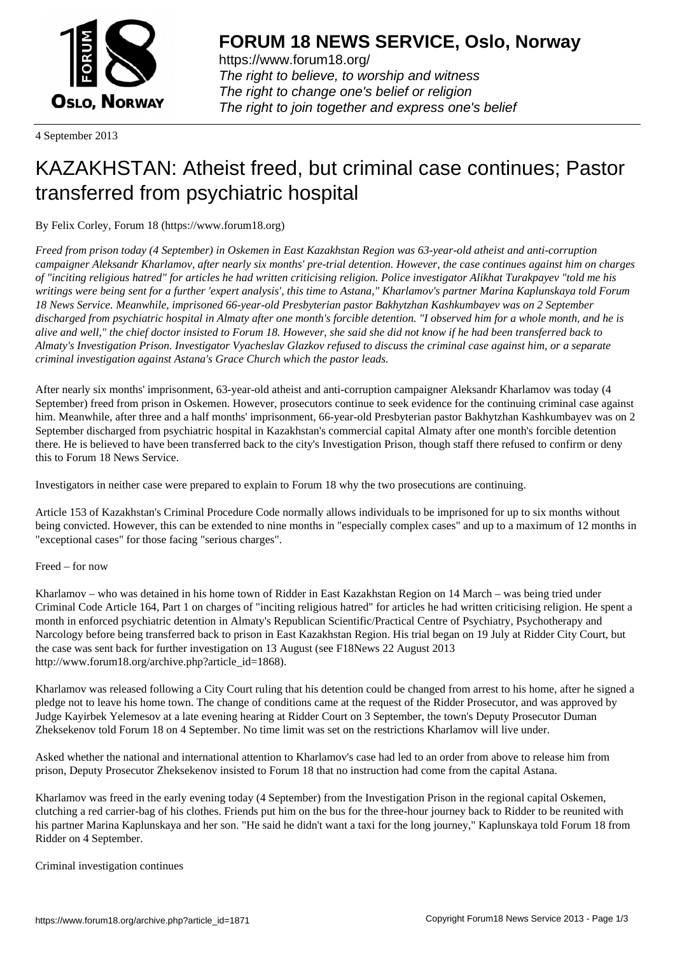

https://www.forum18.org/ The right to believe, to worship and witness The right to change one's belief or religion [The right to join together a](https://www.forum18.org/)nd express one's belief

4 September 2013

# [KAZAKHSTAN:](https://www.forum18.org) Atheist freed, but criminal case continues; Pastor transferred from psychiatric hospital

By Felix Corley, Forum 18 (https://www.forum18.org)

*Freed from prison today (4 September) in Oskemen in East Kazakhstan Region was 63-year-old atheist and anti-corruption campaigner Aleksandr Kharlamov, after nearly six months' pre-trial detention. However, the case continues against him on charges of "inciting religious hatred" for articles he had written criticising religion. Police investigator Alikhat Turakpayev "told me his writings were being sent for a further 'expert analysis', this time to Astana," Kharlamov's partner Marina Kaplunskaya told Forum 18 News Service. Meanwhile, imprisoned 66-year-old Presbyterian pastor Bakhytzhan Kashkumbayev was on 2 September discharged from psychiatric hospital in Almaty after one month's forcible detention. "I observed him for a whole month, and he is alive and well," the chief doctor insisted to Forum 18. However, she said she did not know if he had been transferred back to Almaty's Investigation Prison. Investigator Vyacheslav Glazkov refused to discuss the criminal case against him, or a separate criminal investigation against Astana's Grace Church which the pastor leads.*

After nearly six months' imprisonment, 63-year-old atheist and anti-corruption campaigner Aleksandr Kharlamov was today (4 September) freed from prison in Oskemen. However, prosecutors continue to seek evidence for the continuing criminal case against him. Meanwhile, after three and a half months' imprisonment, 66-year-old Presbyterian pastor Bakhytzhan Kashkumbayev was on 2 September discharged from psychiatric hospital in Kazakhstan's commercial capital Almaty after one month's forcible detention there. He is believed to have been transferred back to the city's Investigation Prison, though staff there refused to confirm or deny this to Forum 18 News Service.

Investigators in neither case were prepared to explain to Forum 18 why the two prosecutions are continuing.

Article 153 of Kazakhstan's Criminal Procedure Code normally allows individuals to be imprisoned for up to six months without being convicted. However, this can be extended to nine months in "especially complex cases" and up to a maximum of 12 months in "exceptional cases" for those facing "serious charges".

# Freed – for now

Kharlamov – who was detained in his home town of Ridder in East Kazakhstan Region on 14 March – was being tried under Criminal Code Article 164, Part 1 on charges of "inciting religious hatred" for articles he had written criticising religion. He spent a month in enforced psychiatric detention in Almaty's Republican Scientific/Practical Centre of Psychiatry, Psychotherapy and Narcology before being transferred back to prison in East Kazakhstan Region. His trial began on 19 July at Ridder City Court, but the case was sent back for further investigation on 13 August (see F18News 22 August 2013 http://www.forum18.org/archive.php?article\_id=1868).

Kharlamov was released following a City Court ruling that his detention could be changed from arrest to his home, after he signed a pledge not to leave his home town. The change of conditions came at the request of the Ridder Prosecutor, and was approved by Judge Kayirbek Yelemesov at a late evening hearing at Ridder Court on 3 September, the town's Deputy Prosecutor Duman Zheksekenov told Forum 18 on 4 September. No time limit was set on the restrictions Kharlamov will live under.

Asked whether the national and international attention to Kharlamov's case had led to an order from above to release him from prison, Deputy Prosecutor Zheksekenov insisted to Forum 18 that no instruction had come from the capital Astana.

Kharlamov was freed in the early evening today (4 September) from the Investigation Prison in the regional capital Oskemen, clutching a red carrier-bag of his clothes. Friends put him on the bus for the three-hour journey back to Ridder to be reunited with his partner Marina Kaplunskaya and her son. "He said he didn't want a taxi for the long journey," Kaplunskaya told Forum 18 from Ridder on 4 September.

Criminal investigation continues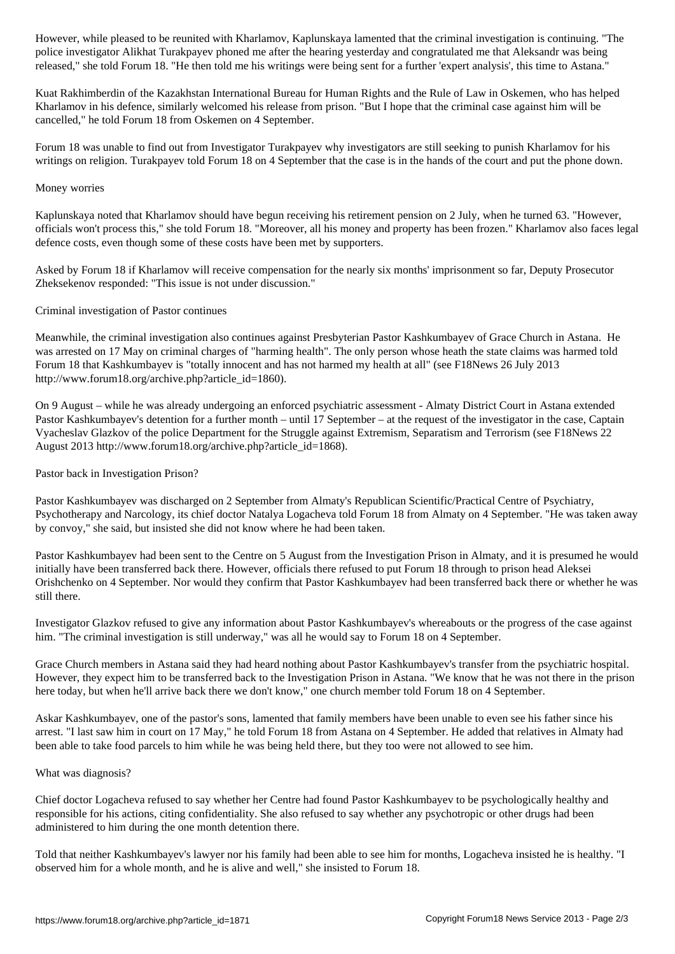police investigator Alikhat Turakpayev phoned me after the hearing yesterday and congratulated me that Aleksandr was being released," she told Forum 18. "He then told me his writings were being sent for a further 'expert analysis', this time to Astana."

Kuat Rakhimberdin of the Kazakhstan International Bureau for Human Rights and the Rule of Law in Oskemen, who has helped Kharlamov in his defence, similarly welcomed his release from prison. "But I hope that the criminal case against him will be cancelled," he told Forum 18 from Oskemen on 4 September.

Forum 18 was unable to find out from Investigator Turakpayev why investigators are still seeking to punish Kharlamov for his writings on religion. Turakpayev told Forum 18 on 4 September that the case is in the hands of the court and put the phone down.

#### Money worries

Kaplunskaya noted that Kharlamov should have begun receiving his retirement pension on 2 July, when he turned 63. "However, officials won't process this," she told Forum 18. "Moreover, all his money and property has been frozen." Kharlamov also faces legal defence costs, even though some of these costs have been met by supporters.

Asked by Forum 18 if Kharlamov will receive compensation for the nearly six months' imprisonment so far, Deputy Prosecutor Zheksekenov responded: "This issue is not under discussion."

## Criminal investigation of Pastor continues

Meanwhile, the criminal investigation also continues against Presbyterian Pastor Kashkumbayev of Grace Church in Astana. He was arrested on 17 May on criminal charges of "harming health". The only person whose heath the state claims was harmed told Forum 18 that Kashkumbayev is "totally innocent and has not harmed my health at all" (see F18News 26 July 2013 http://www.forum18.org/archive.php?article\_id=1860).

On 9 August – while he was already undergoing an enforced psychiatric assessment - Almaty District Court in Astana extended Pastor Kashkumbayev's detention for a further month – until 17 September – at the request of the investigator in the case, Captain Vyacheslav Glazkov of the police Department for the Struggle against Extremism, Separatism and Terrorism (see F18News 22 August 2013 http://www.forum18.org/archive.php?article\_id=1868).

## Pastor back in Investigation Prison?

Pastor Kashkumbayev was discharged on 2 September from Almaty's Republican Scientific/Practical Centre of Psychiatry, Psychotherapy and Narcology, its chief doctor Natalya Logacheva told Forum 18 from Almaty on 4 September. "He was taken away by convoy," she said, but insisted she did not know where he had been taken.

Pastor Kashkumbayev had been sent to the Centre on 5 August from the Investigation Prison in Almaty, and it is presumed he would initially have been transferred back there. However, officials there refused to put Forum 18 through to prison head Aleksei Orishchenko on 4 September. Nor would they confirm that Pastor Kashkumbayev had been transferred back there or whether he was still there.

Investigator Glazkov refused to give any information about Pastor Kashkumbayev's whereabouts or the progress of the case against him. "The criminal investigation is still underway," was all he would say to Forum 18 on 4 September.

Grace Church members in Astana said they had heard nothing about Pastor Kashkumbayev's transfer from the psychiatric hospital. However, they expect him to be transferred back to the Investigation Prison in Astana. "We know that he was not there in the prison here today, but when he'll arrive back there we don't know," one church member told Forum 18 on 4 September.

Askar Kashkumbayev, one of the pastor's sons, lamented that family members have been unable to even see his father since his arrest. "I last saw him in court on 17 May," he told Forum 18 from Astana on 4 September. He added that relatives in Almaty had been able to take food parcels to him while he was being held there, but they too were not allowed to see him.

#### What was diagnosis?

Chief doctor Logacheva refused to say whether her Centre had found Pastor Kashkumbayev to be psychologically healthy and responsible for his actions, citing confidentiality. She also refused to say whether any psychotropic or other drugs had been administered to him during the one month detention there.

Told that neither Kashkumbayev's lawyer nor his family had been able to see him for months, Logacheva insisted he is healthy. "I observed him for a whole month, and he is alive and well," she insisted to Forum 18.